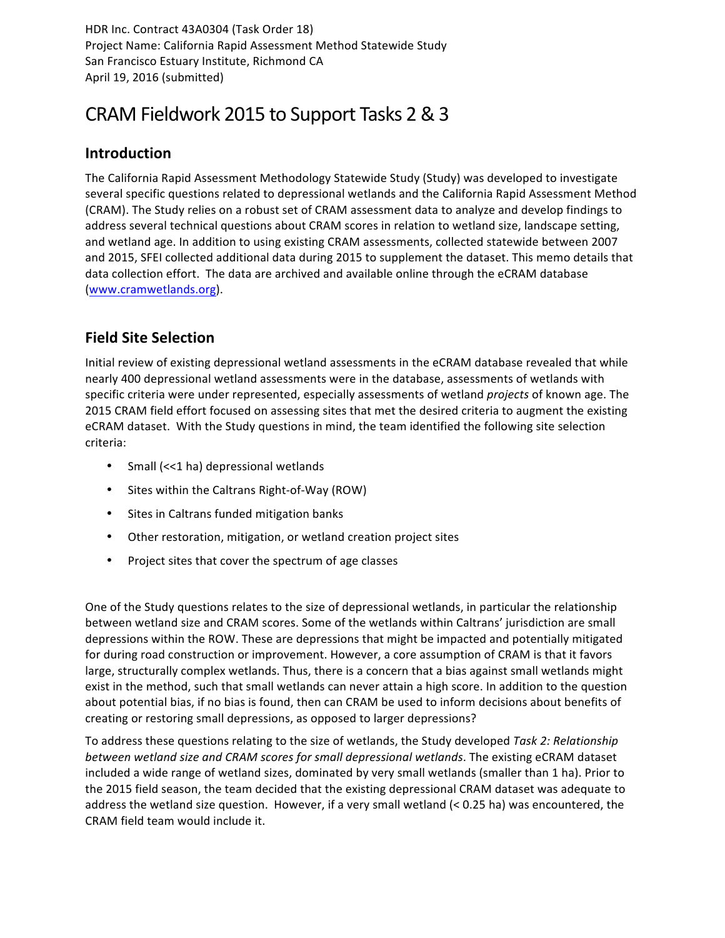HDR Inc. Contract 43A0304 (Task Order 18) Project Name: California Rapid Assessment Method Statewide Study San Francisco Estuary Institute, Richmond CA April 19, 2016 (submitted)

## CRAM Fieldwork 2015 to Support Tasks 2 & 3

## **Introduction**

The California Rapid Assessment Methodology Statewide Study (Study) was developed to investigate several specific questions related to depressional wetlands and the California Rapid Assessment Method (CRAM). The Study relies on a robust set of CRAM assessment data to analyze and develop findings to address several technical questions about CRAM scores in relation to wetland size, landscape setting, and wetland age. In addition to using existing CRAM assessments, collected statewide between 2007 and 2015, SFEI collected additional data during 2015 to supplement the dataset. This memo details that data collection effort. The data are archived and available online through the eCRAM database (www.cramwetlands.org).

## **Field Site Selection**

Initial review of existing depressional wetland assessments in the eCRAM database revealed that while nearly 400 depressional wetland assessments were in the database, assessments of wetlands with specific criteria were under represented, especially assessments of wetland *projects* of known age. The 2015 CRAM field effort focused on assessing sites that met the desired criteria to augment the existing eCRAM dataset. With the Study questions in mind, the team identified the following site selection criteria: 

- Small (<<1 ha) depressional wetlands
- Sites within the Caltrans Right-of-Way (ROW)
- Sites in Caltrans funded mitigation banks
- Other restoration, mitigation, or wetland creation project sites
- Project sites that cover the spectrum of age classes

One of the Study questions relates to the size of depressional wetlands, in particular the relationship between wetland size and CRAM scores. Some of the wetlands within Caltrans' jurisdiction are small depressions within the ROW. These are depressions that might be impacted and potentially mitigated for during road construction or improvement. However, a core assumption of CRAM is that it favors large, structurally complex wetlands. Thus, there is a concern that a bias against small wetlands might exist in the method, such that small wetlands can never attain a high score. In addition to the question about potential bias, if no bias is found, then can CRAM be used to inform decisions about benefits of creating or restoring small depressions, as opposed to larger depressions?

To address these questions relating to the size of wetlands, the Study developed Task 2: Relationship *between* wetland size and CRAM scores for small depressional wetlands. The existing eCRAM dataset included a wide range of wetland sizes, dominated by very small wetlands (smaller than 1 ha). Prior to the 2015 field season, the team decided that the existing depressional CRAM dataset was adequate to address the wetland size question. However, if a very small wetland  $(< 0.25$  ha) was encountered, the CRAM field team would include it.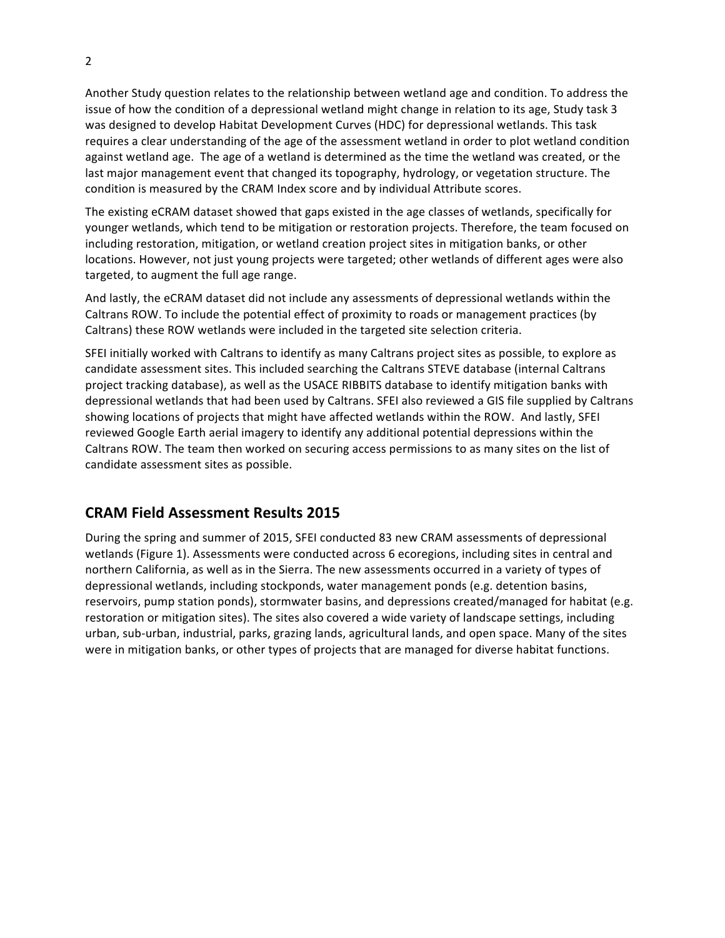Another Study question relates to the relationship between wetland age and condition. To address the issue of how the condition of a depressional wetland might change in relation to its age, Study task 3 was designed to develop Habitat Development Curves (HDC) for depressional wetlands. This task requires a clear understanding of the age of the assessment wetland in order to plot wetland condition against wetland age. The age of a wetland is determined as the time the wetland was created, or the last major management event that changed its topography, hydrology, or vegetation structure. The condition is measured by the CRAM Index score and by individual Attribute scores.

The existing eCRAM dataset showed that gaps existed in the age classes of wetlands, specifically for younger wetlands, which tend to be mitigation or restoration projects. Therefore, the team focused on including restoration, mitigation, or wetland creation project sites in mitigation banks, or other locations. However, not just young projects were targeted; other wetlands of different ages were also targeted, to augment the full age range.

And lastly, the eCRAM dataset did not include any assessments of depressional wetlands within the Caltrans ROW. To include the potential effect of proximity to roads or management practices (by Caltrans) these ROW wetlands were included in the targeted site selection criteria.

SFEI initially worked with Caltrans to identify as many Caltrans project sites as possible, to explore as candidate assessment sites. This included searching the Caltrans STEVE database (internal Caltrans project tracking database), as well as the USACE RIBBITS database to identify mitigation banks with depressional wetlands that had been used by Caltrans. SFEI also reviewed a GIS file supplied by Caltrans showing locations of projects that might have affected wetlands within the ROW. And lastly, SFEI reviewed Google Earth aerial imagery to identify any additional potential depressions within the Caltrans ROW. The team then worked on securing access permissions to as many sites on the list of candidate assessment sites as possible.

## **CRAM Field Assessment Results 2015**

During the spring and summer of 2015, SFEI conducted 83 new CRAM assessments of depressional wetlands (Figure 1). Assessments were conducted across 6 ecoregions, including sites in central and northern California, as well as in the Sierra. The new assessments occurred in a variety of types of depressional wetlands, including stockponds, water management ponds (e.g. detention basins, reservoirs, pump station ponds), stormwater basins, and depressions created/managed for habitat (e.g. restoration or mitigation sites). The sites also covered a wide variety of landscape settings, including urban, sub-urban, industrial, parks, grazing lands, agricultural lands, and open space. Many of the sites were in mitigation banks, or other types of projects that are managed for diverse habitat functions.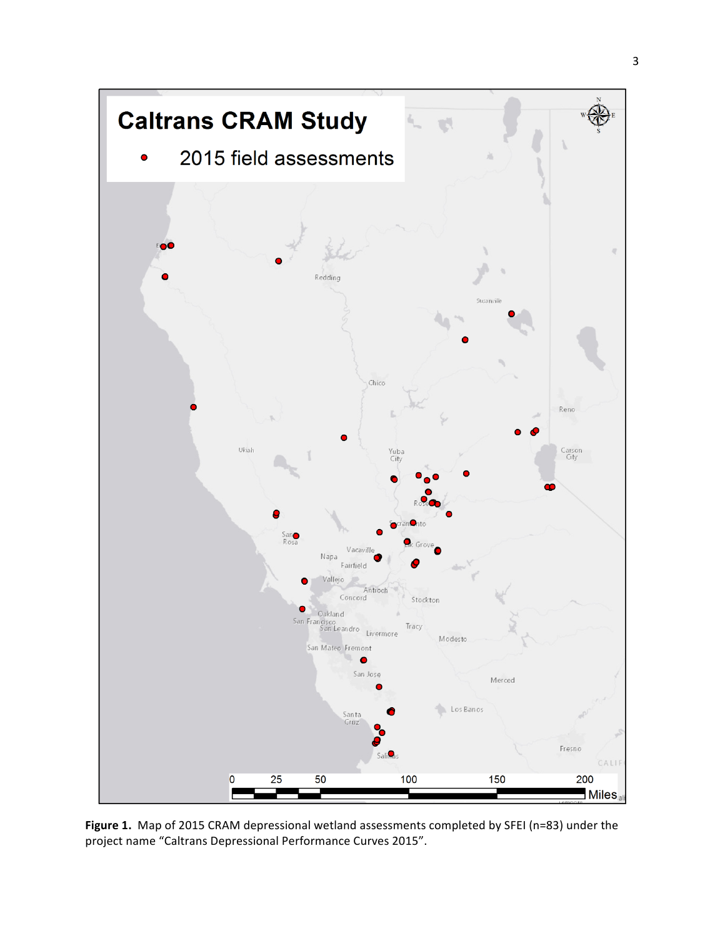

Figure 1. Map of 2015 CRAM depressional wetland assessments completed by SFEI (n=83) under the project name "Caltrans Depressional Performance Curves 2015".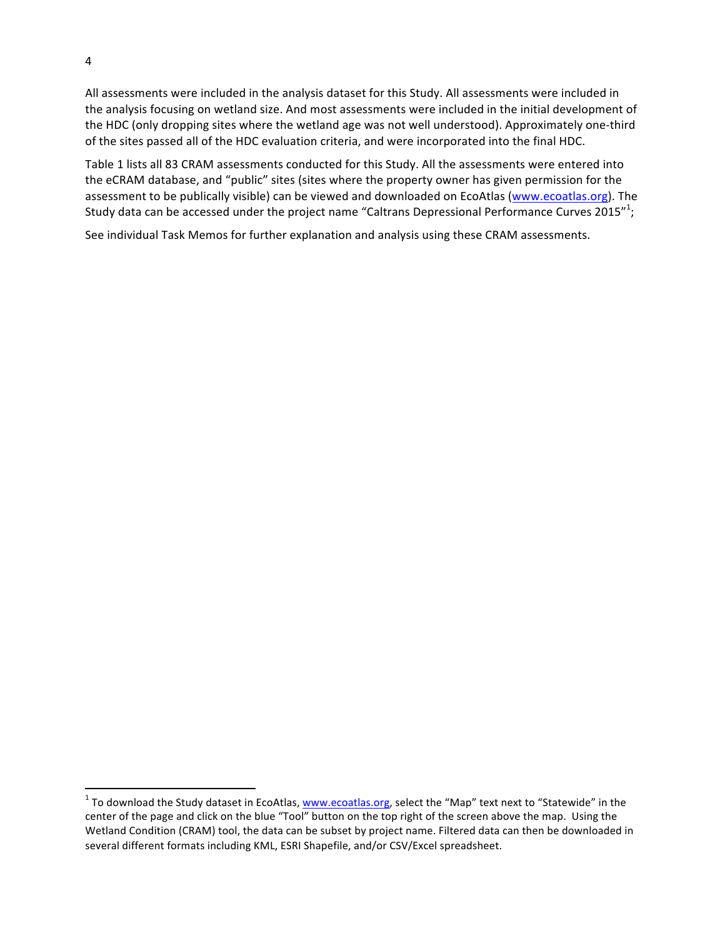All assessments were included in the analysis dataset for this Study. All assessments were included in the analysis focusing on wetland size. And most assessments were included in the initial development of the HDC (only dropping sites where the wetland age was not well understood). Approximately one-third of the sites passed all of the HDC evaluation criteria, and were incorporated into the final HDC.

Table 1 lists all 83 CRAM assessments conducted for this Study. All the assessments were entered into the eCRAM database, and "public" sites (sites where the property owner has given permission for the assessment to be publically visible) can be viewed and downloaded on EcoAtlas (www.ecoatlas.org). The Study data can be accessed under the project name "Caltrans Depressional Performance Curves 2015"<sup>1</sup>;

See individual Task Memos for further explanation and analysis using these CRAM assessments.

<u> 1989 - Johann Stein, markin film yn y breninn y breninn y breninn y breninn y breninn y breninn y breninn y b</u>

 $1$  To download the Study dataset in EcoAtlas, www.ecoatlas.org, select the "Map" text next to "Statewide" in the center of the page and click on the blue "Tool" button on the top right of the screen above the map. Using the Wetland Condition (CRAM) tool, the data can be subset by project name. Filtered data can then be downloaded in several different formats including KML, ESRI Shapefile, and/or CSV/Excel spreadsheet.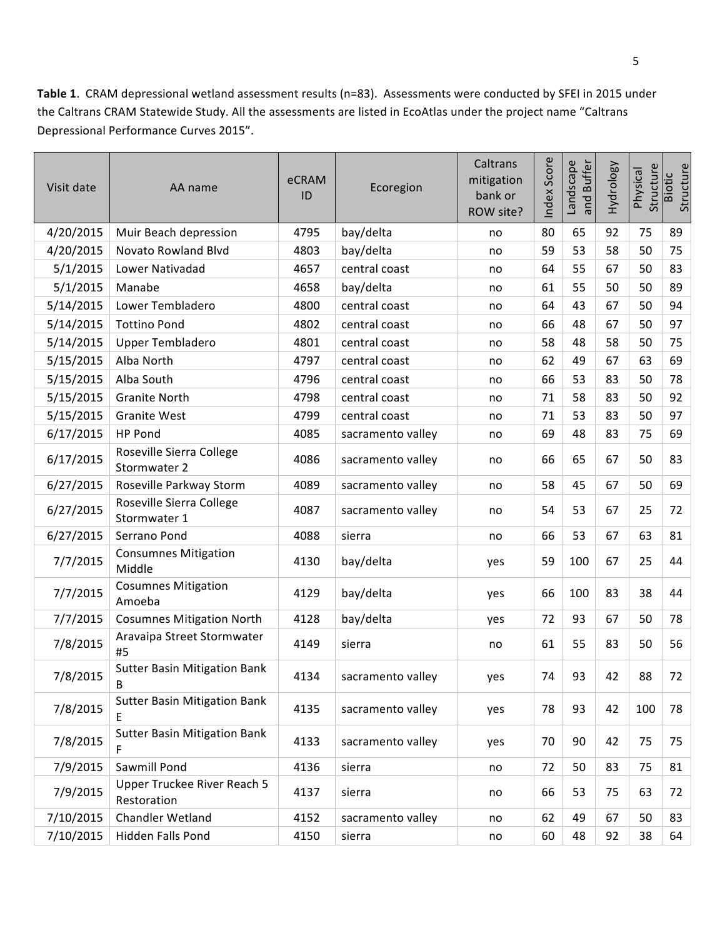Table 1. CRAM depressional wetland assessment results (n=83). Assessments were conducted by SFEI in 2015 under the Caltrans CRAM Statewide Study. All the assessments are listed in EcoAtlas under the project name "Caltrans Depressional Performance Curves 2015".

| Visit date | AA name                                    | eCRAM<br>ID | Ecoregion         | Caltrans<br>mitigation<br>bank or<br>ROW site? | Index Score | Landscape<br>and Buffer | Hydrology | Structure<br>Physical | Structure<br><b>Biotic</b> |
|------------|--------------------------------------------|-------------|-------------------|------------------------------------------------|-------------|-------------------------|-----------|-----------------------|----------------------------|
| 4/20/2015  | Muir Beach depression                      | 4795        | bay/delta         | no                                             | 80          | 65                      | 92        | 75                    | 89                         |
| 4/20/2015  | Novato Rowland Blvd                        | 4803        | bay/delta         | no                                             | 59          | 53                      | 58        | 50                    | 75                         |
| 5/1/2015   | Lower Nativadad                            | 4657        | central coast     | no                                             | 64          | 55                      | 67        | 50                    | 83                         |
| 5/1/2015   | Manabe                                     | 4658        | bay/delta         | no                                             | 61          | 55                      | 50        | 50                    | 89                         |
| 5/14/2015  | Lower Tembladero                           | 4800        | central coast     | no                                             | 64          | 43                      | 67        | 50                    | 94                         |
| 5/14/2015  | <b>Tottino Pond</b>                        | 4802        | central coast     | no                                             | 66          | 48                      | 67        | 50                    | 97                         |
| 5/14/2015  | <b>Upper Tembladero</b>                    | 4801        | central coast     | no                                             | 58          | 48                      | 58        | 50                    | 75                         |
| 5/15/2015  | Alba North                                 | 4797        | central coast     | no                                             | 62          | 49                      | 67        | 63                    | 69                         |
| 5/15/2015  | Alba South                                 | 4796        | central coast     | no                                             | 66          | 53                      | 83        | 50                    | 78                         |
| 5/15/2015  | <b>Granite North</b>                       | 4798        | central coast     | no                                             | 71          | 58                      | 83        | 50                    | 92                         |
| 5/15/2015  | <b>Granite West</b>                        | 4799        | central coast     | no                                             | 71          | 53                      | 83        | 50                    | 97                         |
| 6/17/2015  | HP Pond                                    | 4085        | sacramento valley | no                                             | 69          | 48                      | 83        | 75                    | 69                         |
| 6/17/2015  | Roseville Sierra College<br>Stormwater 2   | 4086        | sacramento valley | no                                             | 66          | 65                      | 67        | 50                    | 83                         |
| 6/27/2015  | Roseville Parkway Storm                    | 4089        | sacramento valley | no                                             | 58          | 45                      | 67        | 50                    | 69                         |
| 6/27/2015  | Roseville Sierra College<br>Stormwater 1   | 4087        | sacramento valley | no                                             | 54          | 53                      | 67        | 25                    | 72                         |
| 6/27/2015  | Serrano Pond                               | 4088        | sierra            | no                                             | 66          | 53                      | 67        | 63                    | 81                         |
| 7/7/2015   | <b>Consumnes Mitigation</b><br>Middle      | 4130        | bay/delta         | yes                                            | 59          | 100                     | 67        | 25                    | 44                         |
| 7/7/2015   | <b>Cosumnes Mitigation</b><br>Amoeba       | 4129        | bay/delta         | yes                                            | 66          | 100                     | 83        | 38                    | 44                         |
| 7/7/2015   | <b>Cosumnes Mitigation North</b>           | 4128        | bay/delta         | yes                                            | 72          | 93                      | 67        | 50                    | 78                         |
| 7/8/2015   | Aravaipa Street Stormwater<br>#5           | 4149        | sierra            | no                                             | 61          | 55                      | 83        | 50                    | 56                         |
| 7/8/2015   | <b>Sutter Basin Mitigation Bank</b><br>B   | 4134        | sacramento valley | yes                                            | 74          | 93                      | 42        | 88                    | 72                         |
| 7/8/2015   | <b>Sutter Basin Mitigation Bank</b><br>E   | 4135        | sacramento valley | yes                                            | 78          | 93                      | 42        | 100                   | 78                         |
| 7/8/2015   | <b>Sutter Basin Mitigation Bank</b><br>F   | 4133        | sacramento valley | yes                                            | 70          | 90                      | 42        | 75                    | 75                         |
| 7/9/2015   | Sawmill Pond                               | 4136        | sierra            | no                                             | 72          | 50                      | 83        | 75                    | 81                         |
| 7/9/2015   | Upper Truckee River Reach 5<br>Restoration | 4137        | sierra            | no                                             | 66          | 53                      | 75        | 63                    | 72                         |
| 7/10/2015  | Chandler Wetland                           | 4152        | sacramento valley | no                                             | 62          | 49                      | 67        | 50                    | 83                         |
| 7/10/2015  | Hidden Falls Pond                          | 4150        | sierra            | no                                             | 60          | 48                      | 92        | 38                    | 64                         |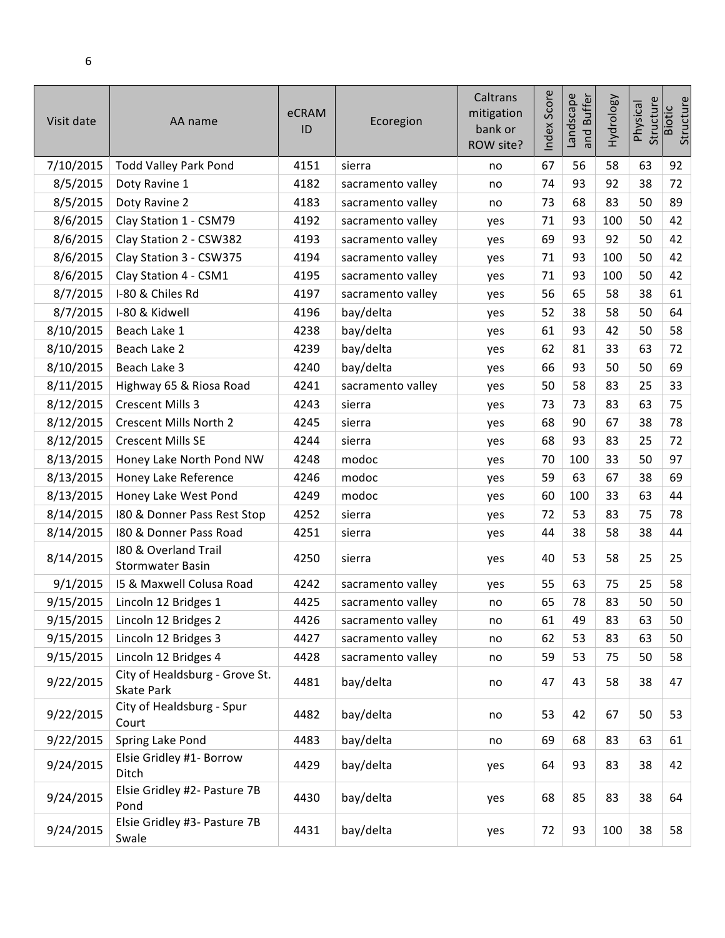| Visit date | AA name                                         | eCRAM<br>ID | Ecoregion         | Caltrans<br>mitigation<br>bank or<br>ROW site? | ndex Score | and Buffer<br>Landscape | Hydrology | Structure<br>Physical | Structure<br><b>Biotic</b> |
|------------|-------------------------------------------------|-------------|-------------------|------------------------------------------------|------------|-------------------------|-----------|-----------------------|----------------------------|
| 7/10/2015  | <b>Todd Valley Park Pond</b>                    | 4151        | sierra            | no                                             | 67         | 56                      | 58        | 63                    | 92                         |
| 8/5/2015   | Doty Ravine 1                                   | 4182        | sacramento valley | no                                             | 74         | 93                      | 92        | 38                    | 72                         |
| 8/5/2015   | Doty Ravine 2                                   | 4183        | sacramento valley | no                                             | 73         | 68                      | 83        | 50                    | 89                         |
| 8/6/2015   | Clay Station 1 - CSM79                          | 4192        | sacramento valley | yes                                            | 71         | 93                      | 100       | 50                    | 42                         |
| 8/6/2015   | Clay Station 2 - CSW382                         | 4193        | sacramento valley | yes                                            | 69         | 93                      | 92        | 50                    | 42                         |
| 8/6/2015   | Clay Station 3 - CSW375                         | 4194        | sacramento valley | yes                                            | 71         | 93                      | 100       | 50                    | 42                         |
| 8/6/2015   | Clay Station 4 - CSM1                           | 4195        | sacramento valley | yes                                            | 71         | 93                      | 100       | 50                    | 42                         |
| 8/7/2015   | I-80 & Chiles Rd                                | 4197        | sacramento valley | yes                                            | 56         | 65                      | 58        | 38                    | 61                         |
| 8/7/2015   | I-80 & Kidwell                                  | 4196        | bay/delta         | yes                                            | 52         | 38                      | 58        | 50                    | 64                         |
| 8/10/2015  | Beach Lake 1                                    | 4238        | bay/delta         | yes                                            | 61         | 93                      | 42        | 50                    | 58                         |
| 8/10/2015  | Beach Lake 2                                    | 4239        | bay/delta         | yes                                            | 62         | 81                      | 33        | 63                    | 72                         |
| 8/10/2015  | Beach Lake 3                                    | 4240        | bay/delta         | yes                                            | 66         | 93                      | 50        | 50                    | 69                         |
| 8/11/2015  | Highway 65 & Riosa Road                         | 4241        | sacramento valley | yes                                            | 50         | 58                      | 83        | 25                    | 33                         |
| 8/12/2015  | <b>Crescent Mills 3</b>                         | 4243        | sierra            | yes                                            | 73         | 73                      | 83        | 63                    | 75                         |
| 8/12/2015  | Crescent Mills North 2                          | 4245        | sierra            | yes                                            | 68         | 90                      | 67        | 38                    | 78                         |
| 8/12/2015  | <b>Crescent Mills SE</b>                        | 4244        | sierra            | yes                                            | 68         | 93                      | 83        | 25                    | 72                         |
| 8/13/2015  | Honey Lake North Pond NW                        | 4248        | modoc             | yes                                            | 70         | 100                     | 33        | 50                    | 97                         |
| 8/13/2015  | Honey Lake Reference                            | 4246        | modoc             | yes                                            | 59         | 63                      | 67        | 38                    | 69                         |
| 8/13/2015  | Honey Lake West Pond                            | 4249        | modoc             | yes                                            | 60         | 100                     | 33        | 63                    | 44                         |
| 8/14/2015  | 180 & Donner Pass Rest Stop                     | 4252        | sierra            | yes                                            | 72         | 53                      | 83        | 75                    | 78                         |
| 8/14/2015  | 180 & Donner Pass Road                          | 4251        | sierra            | yes                                            | 44         | 38                      | 58        | 38                    | 44                         |
| 8/14/2015  | 180 & Overland Trail<br><b>Stormwater Basin</b> | 4250        | sierra            | yes                                            | 40         | 53                      | 58        | 25                    | 25                         |
| 9/1/2015   | 15 & Maxwell Colusa Road                        | 4242        | sacramento valley | yes                                            | 55         | 63                      | 75        | 25                    | 58                         |
| 9/15/2015  | Lincoln 12 Bridges 1                            | 4425        | sacramento valley | no                                             | 65         | 78                      | 83        | 50                    | 50                         |
| 9/15/2015  | Lincoln 12 Bridges 2                            | 4426        | sacramento valley | no                                             | 61         | 49                      | 83        | 63                    | 50                         |
| 9/15/2015  | Lincoln 12 Bridges 3                            | 4427        | sacramento valley | no                                             | 62         | 53                      | 83        | 63                    | 50                         |
| 9/15/2015  | Lincoln 12 Bridges 4                            | 4428        | sacramento valley | no                                             | 59         | 53                      | 75        | 50                    | 58                         |
| 9/22/2015  | City of Healdsburg - Grove St.<br>Skate Park    | 4481        | bay/delta         | no                                             | 47         | 43                      | 58        | 38                    | 47                         |
| 9/22/2015  | City of Healdsburg - Spur<br>Court              | 4482        | bay/delta         | no                                             | 53         | 42                      | 67        | 50                    | 53                         |
| 9/22/2015  | Spring Lake Pond                                | 4483        | bay/delta         | no                                             | 69         | 68                      | 83        | 63                    | 61                         |
| 9/24/2015  | Elsie Gridley #1- Borrow<br>Ditch               | 4429        | bay/delta         | yes                                            | 64         | 93                      | 83        | 38                    | 42                         |
| 9/24/2015  | Elsie Gridley #2- Pasture 7B<br>Pond            | 4430        | bay/delta         | yes                                            | 68         | 85                      | 83        | 38                    | 64                         |
| 9/24/2015  | Elsie Gridley #3- Pasture 7B<br>Swale           | 4431        | bay/delta         | yes                                            | 72         | 93                      | 100       | 38                    | 58                         |